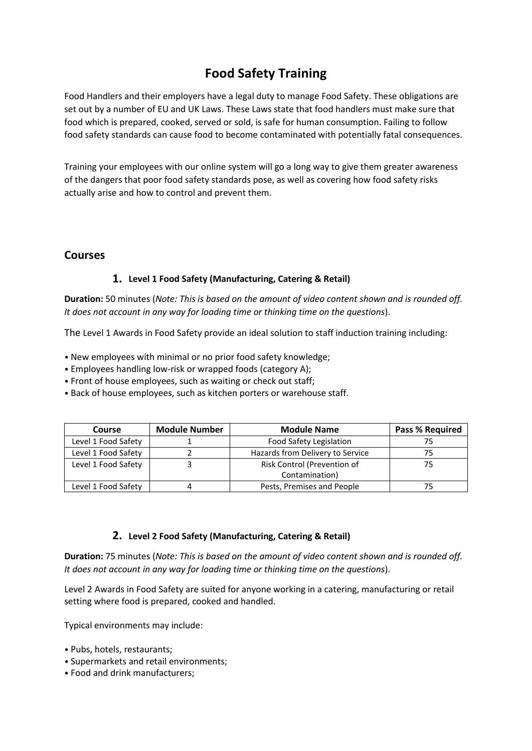# **Food Safety Training**

Food Handlers and their employers have a legal duty to manage Food Safety. These obligations are set out by a number of EU and UK Laws. These Laws state that food handlers must make sure that food which is prepared, cooked, served or sold, is safe for human consumption. Failing to follow food safety standards can cause food to become contaminated with potentially fatal consequences.

Training your employees with our online system will go a long way to give them greater awareness of the dangers that poor food safety standards pose, as well as covering how food safety risks actually arise and how to control and prevent them.

# **Courses**

## **1. Level 1 Food Safety (Manufacturing, Catering & Retail)**

**Duration:** 50 minutes (*Note: This is based on the amount of video content shown and is rounded off. It does not account in any way for loading time or thinking time on the questions*).

The Level 1 Awards in Food Safety provide an ideal solution to staff induction training including:

- New employees with minimal or no prior food safety knowledge;
- Employees handling low-risk or wrapped foods (category A);
- Front of house employees, such as waiting or check out staff;
- Back of house employees, such as kitchen porters or warehouse staff.

| Course              | <b>Module Number</b> | <b>Module Name</b>               | <b>Pass % Required</b> |
|---------------------|----------------------|----------------------------------|------------------------|
| Level 1 Food Safety |                      | Food Safety Legislation          |                        |
| Level 1 Food Safety |                      | Hazards from Delivery to Service |                        |
| Level 1 Food Safety |                      | Risk Control (Prevention of      | 75                     |
|                     |                      | Contamination)                   |                        |
| Level 1 Food Safety |                      | Pests, Premises and People       |                        |

### **2. Level 2 Food Safety (Manufacturing, Catering & Retail)**

**Duration:** 75 minutes (*Note: This is based on the amount of video content shown and is rounded off. It does not account in any way for loading time or thinking time on the questions*).

Level 2 Awards in Food Safety are suited for anyone working in a catering, manufacturing or retail setting where food is prepared, cooked and handled.

Typical environments may include:

- Pubs, hotels, restaurants;
- Supermarkets and retail environments;
- Food and drink manufacturers;